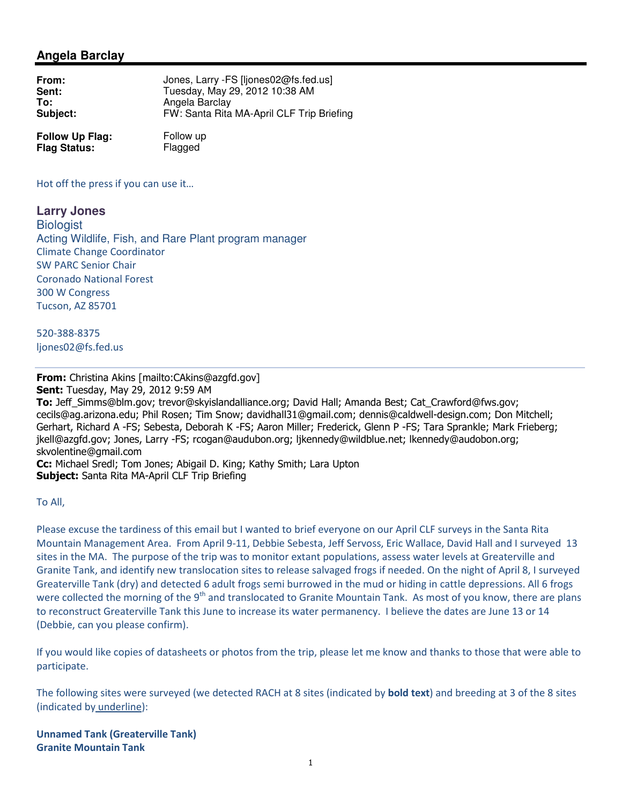# **Angela Barclay**

| From:    | Jones, Larry - FS [ljones02@fs.fed.us]    |
|----------|-------------------------------------------|
| Sent:    | Tuesday, May 29, 2012 10:38 AM            |
| To:      | Angela Barclay                            |
| Subject: | FW: Santa Rita MA-April CLF Trip Briefing |

**Follow Up Flag:** Follow up<br> **Flag Status:** Flagged **Flag Status:** 

Hot off the press if you can use it…

**Larry Jones Biologist** Acting Wildlife, Fish, and Rare Plant program manager Climate Change Coordinator SW PARC Senior Chair Coronado National Forest 300 W Congress Tucson, AZ 85701

520-388-8375 ljones02@fs.fed.us

## From: Christina Akins [mailto:CAkins@azgfd.gov]

Sent: Tuesday, May 29, 2012 9:59 AM

To: Jeff Simms@blm.gov; trevor@skyislandalliance.org; David Hall; Amanda Best; Cat Crawford@fws.gov; cecils@ag.arizona.edu; Phil Rosen; Tim Snow; davidhall31@gmail.com; dennis@caldwell-design.com; Don Mitchell; Gerhart, Richard A -FS; Sebesta, Deborah K -FS; Aaron Miller; Frederick, Glenn P -FS; Tara Sprankle; Mark Frieberg; jkell@azgfd.gov; Jones, Larry -FS; rcogan@audubon.org; ljkennedy@wildblue.net; lkennedy@audobon.org; skvolentine@gmail.com

Cc: Michael Sredl; Tom Jones; Abigail D. King; Kathy Smith; Lara Upton Subject: Santa Rita MA-April CLF Trip Briefing

To All,

Please excuse the tardiness of this email but I wanted to brief everyone on our April CLF surveys in the Santa Rita Mountain Management Area. From April 9-11, Debbie Sebesta, Jeff Servoss, Eric Wallace, David Hall and I surveyed 13 sites in the MA. The purpose of the trip was to monitor extant populations, assess water levels at Greaterville and Granite Tank, and identify new translocation sites to release salvaged frogs if needed. On the night of April 8, I surveyed Greaterville Tank (dry) and detected 6 adult frogs semi burrowed in the mud or hiding in cattle depressions. All 6 frogs were collected the morning of the  $9<sup>th</sup>$  and translocated to Granite Mountain Tank. As most of you know, there are plans to reconstruct Greaterville Tank this June to increase its water permanency. I believe the dates are June 13 or 14 (Debbie, can you please confirm).

If you would like copies of datasheets or photos from the trip, please let me know and thanks to those that were able to participate.

The following sites were surveyed (we detected RACH at 8 sites (indicated by **bold text**) and breeding at 3 of the 8 sites (indicated by underline):

Unnamed Tank (Greaterville Tank) Granite Mountain Tank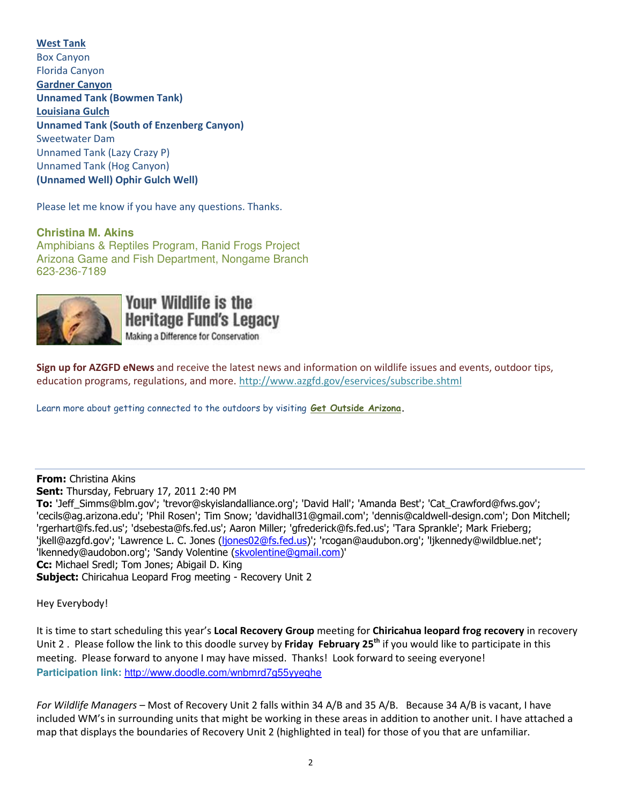### West Tank

Box Canyon Florida Canyon Gardner Canyon Unnamed Tank (Bowmen Tank) Louisiana Gulch Unnamed Tank (South of Enzenberg Canyon) Sweetwater Dam Unnamed Tank (Lazy Crazy P) Unnamed Tank (Hog Canyon) (Unnamed Well) Ophir Gulch Well)

Please let me know if you have any questions. Thanks.

### **Christina M. Akins**

Amphibians & Reptiles Program, Ranid Frogs Project Arizona Game and Fish Department, Nongame Branch 623-236-7189



**Your Wildlife is the Heritage Fund's Legacy** Making a Difference for Conservation

Sign up for AZGFD eNews and receive the latest news and information on wildlife issues and events, outdoor tips, education programs, regulations, and more. http://www.azgfd.gov/eservices/subscribe.shtml

Learn more about getting connected to the outdoors by visiting Get Outside Arizona.

#### From: Christina Akins

Sent: Thursday, February 17, 2011 2:40 PM

To: 'Jeff\_Simms@blm.gov'; 'trevor@skyislandalliance.org'; 'David Hall'; 'Amanda Best'; 'Cat\_Crawford@fws.gov'; 'cecils@ag.arizona.edu'; 'Phil Rosen'; Tim Snow; 'davidhall31@gmail.com'; 'dennis@caldwell-design.com'; Don Mitchell; 'rgerhart@fs.fed.us'; 'dsebesta@fs.fed.us'; Aaron Miller; 'gfrederick@fs.fed.us'; 'Tara Sprankle'; Mark Frieberg; 'jkell@azgfd.gov'; 'Lawrence L. C. Jones (ljones02@fs.fed.us)'; 'rcogan@audubon.org'; 'ljkennedy@wildblue.net'; 'lkennedy@audobon.org'; 'Sandy Volentine (skvolentine@gmail.com)' Cc: Michael Sredl; Tom Jones; Abigail D. King **Subject:** Chiricahua Leopard Frog meeting - Recovery Unit 2

Hey Everybody!

It is time to start scheduling this year's Local Recovery Group meeting for Chiricahua leopard frog recovery in recovery Unit 2. Please follow the link to this doodle survey by Friday February 25<sup>th</sup> if you would like to participate in this meeting. Please forward to anyone I may have missed. Thanks! Look forward to seeing everyone! **Participation link:** http://www.doodle.com/wnbmrd7g55yyeqhe

For Wildlife Managers – Most of Recovery Unit 2 falls within 34 A/B and 35 A/B. Because 34 A/B is vacant, I have included WM's in surrounding units that might be working in these areas in addition to another unit. I have attached a map that displays the boundaries of Recovery Unit 2 (highlighted in teal) for those of you that are unfamiliar.